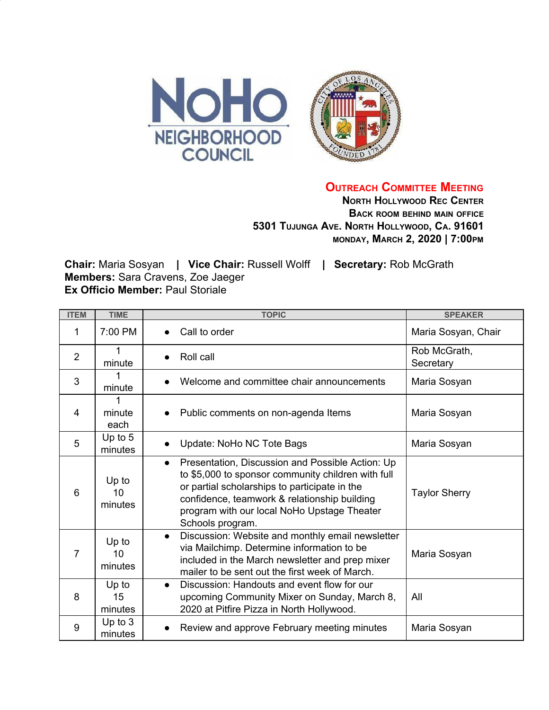

**OUTREACH COMMITTEE MEETING**

**NORTH HOLLYWOOD REC CENTER BACK ROOM BEHIND MAIN OFFICE 5301 TUJUNGA AVE. NORTH HOLLYWOOD, CA. 91601 MONDAY, MARCH 2, 2020 | 7:00PM**

**Chair:** Maria Sosyan **| Vice Chair:** Russell Wolff **| Secretary:** Rob McGrath **Members:** Sara Cravens, Zoe Jaeger **Ex Officio Member: Paul Storiale** 

| <b>ITEM</b>    | <b>TIME</b>            | <b>TOPIC</b>                                                                                                                                                                                                                                                                            | <b>SPEAKER</b>            |
|----------------|------------------------|-----------------------------------------------------------------------------------------------------------------------------------------------------------------------------------------------------------------------------------------------------------------------------------------|---------------------------|
| 1              | 7:00 PM                | Call to order                                                                                                                                                                                                                                                                           | Maria Sosyan, Chair       |
| $\overline{2}$ | minute                 | Roll call<br>$\bullet$                                                                                                                                                                                                                                                                  | Rob McGrath,<br>Secretary |
| 3              | minute                 | Welcome and committee chair announcements                                                                                                                                                                                                                                               | Maria Sosyan              |
| $\overline{4}$ | 1<br>minute<br>each    | Public comments on non-agenda Items                                                                                                                                                                                                                                                     | Maria Sosyan              |
| 5              | Up to $5$<br>minutes   | Update: NoHo NC Tote Bags<br>$\bullet$                                                                                                                                                                                                                                                  | Maria Sosyan              |
| 6              | Up to<br>10<br>minutes | Presentation, Discussion and Possible Action: Up<br>$\bullet$<br>to \$5,000 to sponsor community children with full<br>or partial scholarships to participate in the<br>confidence, teamwork & relationship building<br>program with our local NoHo Upstage Theater<br>Schools program. | <b>Taylor Sherry</b>      |
| 7              | Up to<br>10<br>minutes | Discussion: Website and monthly email newsletter<br>$\bullet$<br>via Mailchimp. Determine information to be<br>included in the March newsletter and prep mixer<br>mailer to be sent out the first week of March.                                                                        | Maria Sosyan              |
| 8              | Up to<br>15<br>minutes | Discussion: Handouts and event flow for our<br>$\bullet$<br>upcoming Community Mixer on Sunday, March 8,<br>2020 at Pitfire Pizza in North Hollywood.                                                                                                                                   | All                       |
| 9              | Up to $3$<br>minutes   | Review and approve February meeting minutes                                                                                                                                                                                                                                             | Maria Sosyan              |